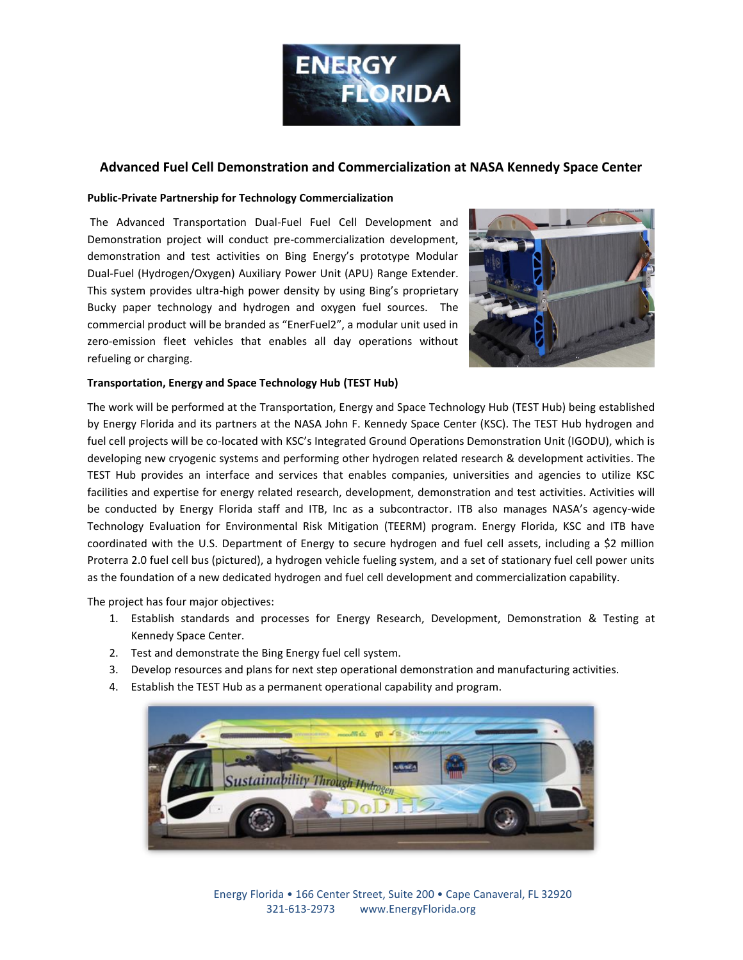

## **Advanced Fuel Cell Demonstration and Commercialization at NASA Kennedy Space Center**

## **Public-Private Partnership for Technology Commercialization**

The Advanced Transportation Dual-Fuel Fuel Cell Development and Demonstration project will conduct pre-commercialization development, demonstration and test activities on Bing Energy's prototype Modular Dual-Fuel (Hydrogen/Oxygen) Auxiliary Power Unit (APU) Range Extender. This system provides ultra-high power density by using Bing's proprietary Bucky paper technology and hydrogen and oxygen fuel sources. The commercial product will be branded as "EnerFuel2", a modular unit used in zero-emission fleet vehicles that enables all day operations without refueling or charging.



## **Transportation, Energy and Space Technology Hub (TEST Hub)**

The work will be performed at the Transportation, Energy and Space Technology Hub (TEST Hub) being established by Energy Florida and its partners at the NASA John F. Kennedy Space Center (KSC). The TEST Hub hydrogen and fuel cell projects will be co-located with KSC's Integrated Ground Operations Demonstration Unit (IGODU), which is developing new cryogenic systems and performing other hydrogen related research & development activities. The TEST Hub provides an interface and services that enables companies, universities and agencies to utilize KSC facilities and expertise for energy related research, development, demonstration and test activities. Activities will be conducted by Energy Florida staff and ITB, Inc as a subcontractor. ITB also manages NASA's agency-wide Technology Evaluation for Environmental Risk Mitigation (TEERM) program. Energy Florida, KSC and ITB have coordinated with the U.S. Department of Energy to secure hydrogen and fuel cell assets, including a \$2 million Proterra 2.0 fuel cell bus (pictured), a hydrogen vehicle fueling system, and a set of stationary fuel cell power units as the foundation of a new dedicated hydrogen and fuel cell development and commercialization capability.

The project has four major objectives:

- 1. Establish standards and processes for Energy Research, Development, Demonstration & Testing at Kennedy Space Center.
- 2. Test and demonstrate the Bing Energy fuel cell system.
- 3. Develop resources and plans for next step operational demonstration and manufacturing activities.
- 4. Establish the TEST Hub as a permanent operational capability and program.